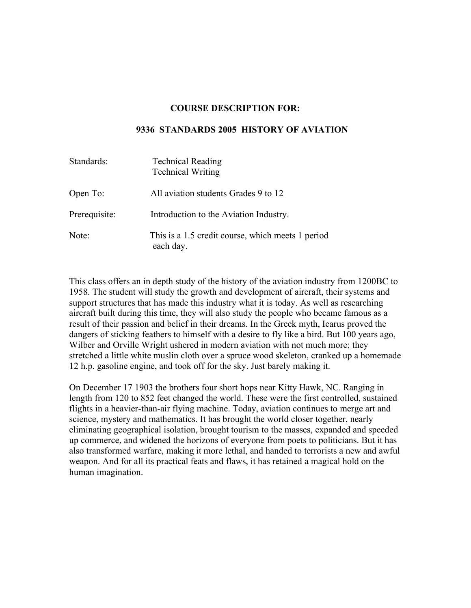#### **COURSE DESCRIPTION FOR:**

#### **9336 STANDARDS 2005 HISTORY OF AVIATION**

| Standards:    | <b>Technical Reading</b><br><b>Technical Writing</b>           |
|---------------|----------------------------------------------------------------|
| Open To:      | All aviation students Grades 9 to 12                           |
| Prerequisite: | Introduction to the Aviation Industry.                         |
| Note:         | This is a 1.5 credit course, which meets 1 period<br>each day. |

This class offers an in depth study of the history of the aviation industry from 1200BC to 1958. The student will study the growth and development of aircraft, their systems and support structures that has made this industry what it is today. As well as researching aircraft built during this time, they will also study the people who became famous as a result of their passion and belief in their dreams. In the Greek myth, Icarus proved the dangers of sticking feathers to himself with a desire to fly like a bird. But 100 years ago, Wilber and Orville Wright ushered in modern aviation with not much more; they stretched a little white muslin cloth over a spruce wood skeleton, cranked up a homemade 12 h.p. gasoline engine, and took off for the sky. Just barely making it.

On December 17 1903 the brothers four short hops near Kitty Hawk, NC. Ranging in length from 120 to 852 feet changed the world. These were the first controlled, sustained flights in a heavier-than-air flying machine. Today, aviation continues to merge art and science, mystery and mathematics. It has brought the world closer together, nearly eliminating geographical isolation, brought tourism to the masses, expanded and speeded up commerce, and widened the horizons of everyone from poets to politicians. But it has also transformed warfare, making it more lethal, and handed to terrorists a new and awful weapon. And for all its practical feats and flaws, it has retained a magical hold on the human imagination.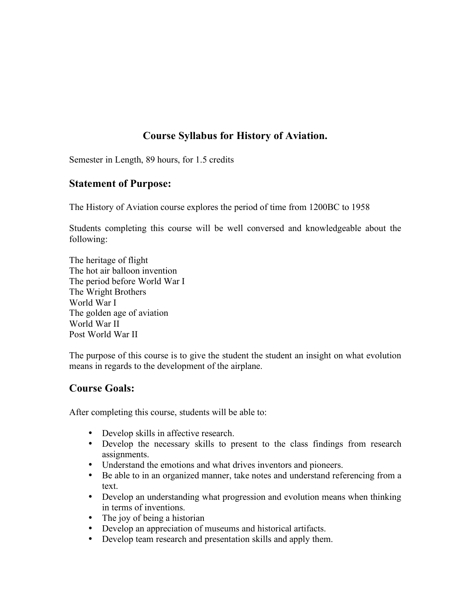# **Course Syllabus for History of Aviation.**

Semester in Length, 89 hours, for 1.5 credits

#### **Statement of Purpose:**

The History of Aviation course explores the period of time from 1200BC to 1958

Students completing this course will be well conversed and knowledgeable about the following:

The heritage of flight The hot air balloon invention The period before World War I The Wright Brothers World War I The golden age of aviation World War II Post World War II

The purpose of this course is to give the student the student an insight on what evolution means in regards to the development of the airplane.

#### **Course Goals:**

After completing this course, students will be able to:

- Develop skills in affective research.
- Develop the necessary skills to present to the class findings from research assignments.
- Understand the emotions and what drives inventors and pioneers.
- Be able to in an organized manner, take notes and understand referencing from a text.
- Develop an understanding what progression and evolution means when thinking in terms of inventions.
- The joy of being a historian
- Develop an appreciation of museums and historical artifacts.
- Develop team research and presentation skills and apply them.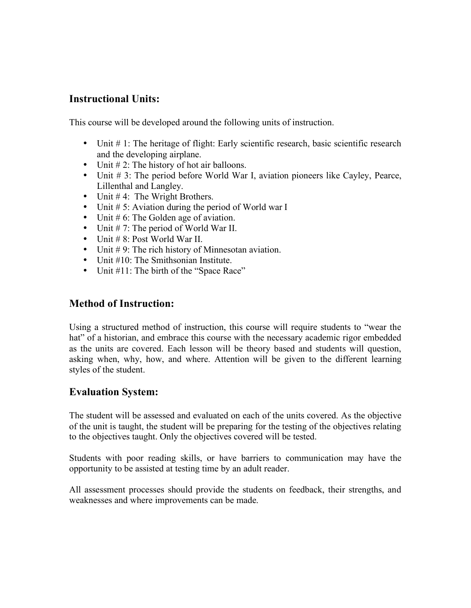## **Instructional Units:**

This course will be developed around the following units of instruction.

- Unit # 1: The heritage of flight: Early scientific research, basic scientific research and the developing airplane.
- Unit # 2: The history of hot air balloons.
- Unit # 3: The period before World War I, aviation pioneers like Cayley, Pearce, Lillenthal and Langley.
- Unit #4: The Wright Brothers.
- Unit # 5: Aviation during the period of World war I
- Unit # 6: The Golden age of aviation.
- Unit # 7: The period of World War II.
- Unit # 8: Post World War II.
- Unit #9: The rich history of Minnesotan aviation.
- Unit #10: The Smithsonian Institute.
- Unit #11: The birth of the "Space Race"

### **Method of Instruction:**

Using a structured method of instruction, this course will require students to "wear the hat" of a historian, and embrace this course with the necessary academic rigor embedded as the units are covered. Each lesson will be theory based and students will question, asking when, why, how, and where. Attention will be given to the different learning styles of the student.

### **Evaluation System:**

The student will be assessed and evaluated on each of the units covered. As the objective of the unit is taught, the student will be preparing for the testing of the objectives relating to the objectives taught. Only the objectives covered will be tested.

Students with poor reading skills, or have barriers to communication may have the opportunity to be assisted at testing time by an adult reader.

All assessment processes should provide the students on feedback, their strengths, and weaknesses and where improvements can be made.